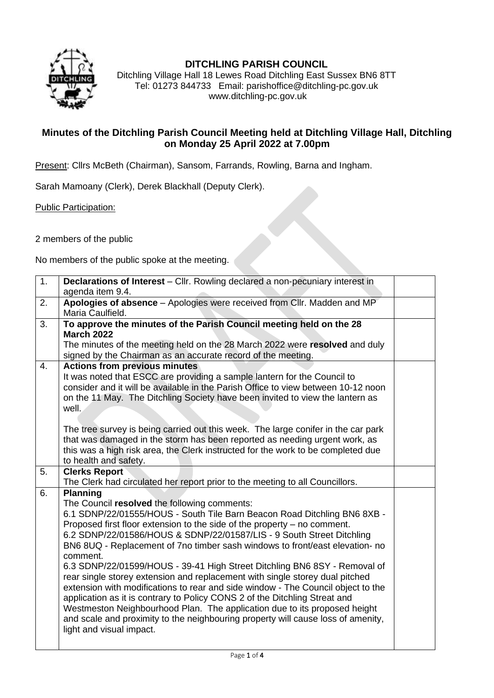

## **DITCHLING PARISH COUNCIL**

Ditchling Village Hall 18 Lewes Road Ditchling East Sussex BN6 8TT Tel: 01273 844733 Email: parishoffice@ditchling-pc.gov.uk www.ditchling-pc.gov.uk

## **Minutes of the Ditchling Parish Council Meeting held at Ditchling Village Hall, Ditchling on Monday 25 April 2022 at 7.00pm**

Present: Cllrs McBeth (Chairman), Sansom, Farrands, Rowling, Barna and Ingham.

Sarah Mamoany (Clerk), Derek Blackhall (Deputy Clerk).

Public Participation:

2 members of the public

No members of the public spoke at the meeting.

| $\overline{1}$ . | Declarations of Interest - Cllr. Rowling declared a non-pecuniary interest in                                                                                                                                                                                                                                                                                                                                                                                                                                                                                                                                                                                                                                                                                                                                                                                                                                            |  |  |  |  |
|------------------|--------------------------------------------------------------------------------------------------------------------------------------------------------------------------------------------------------------------------------------------------------------------------------------------------------------------------------------------------------------------------------------------------------------------------------------------------------------------------------------------------------------------------------------------------------------------------------------------------------------------------------------------------------------------------------------------------------------------------------------------------------------------------------------------------------------------------------------------------------------------------------------------------------------------------|--|--|--|--|
|                  | agenda item 9.4.                                                                                                                                                                                                                                                                                                                                                                                                                                                                                                                                                                                                                                                                                                                                                                                                                                                                                                         |  |  |  |  |
| 2.               | Apologies of absence - Apologies were received from Cllr. Madden and MP                                                                                                                                                                                                                                                                                                                                                                                                                                                                                                                                                                                                                                                                                                                                                                                                                                                  |  |  |  |  |
|                  | Maria Caulfield.                                                                                                                                                                                                                                                                                                                                                                                                                                                                                                                                                                                                                                                                                                                                                                                                                                                                                                         |  |  |  |  |
| 3.               | To approve the minutes of the Parish Council meeting held on the 28<br><b>March 2022</b><br>The minutes of the meeting held on the 28 March 2022 were resolved and duly<br>signed by the Chairman as an accurate record of the meeting.                                                                                                                                                                                                                                                                                                                                                                                                                                                                                                                                                                                                                                                                                  |  |  |  |  |
| 4.               | <b>Actions from previous minutes</b>                                                                                                                                                                                                                                                                                                                                                                                                                                                                                                                                                                                                                                                                                                                                                                                                                                                                                     |  |  |  |  |
|                  | It was noted that ESCC are providing a sample lantern for the Council to<br>consider and it will be available in the Parish Office to view between 10-12 noon<br>on the 11 May. The Ditchling Society have been invited to view the lantern as<br>well.                                                                                                                                                                                                                                                                                                                                                                                                                                                                                                                                                                                                                                                                  |  |  |  |  |
|                  | The tree survey is being carried out this week. The large conifer in the car park<br>that was damaged in the storm has been reported as needing urgent work, as<br>this was a high risk area, the Clerk instructed for the work to be completed due<br>to health and safety.                                                                                                                                                                                                                                                                                                                                                                                                                                                                                                                                                                                                                                             |  |  |  |  |
| 5.               | <b>Clerks Report</b>                                                                                                                                                                                                                                                                                                                                                                                                                                                                                                                                                                                                                                                                                                                                                                                                                                                                                                     |  |  |  |  |
|                  | The Clerk had circulated her report prior to the meeting to all Councillors.                                                                                                                                                                                                                                                                                                                                                                                                                                                                                                                                                                                                                                                                                                                                                                                                                                             |  |  |  |  |
| 6.               | <b>Planning</b><br>The Council resolved the following comments:<br>6.1 SDNP/22/01555/HOUS - South Tile Barn Beacon Road Ditchling BN6 8XB -<br>Proposed first floor extension to the side of the property – no comment.<br>6.2 SDNP/22/01586/HOUS & SDNP/22/01587/LIS - 9 South Street Ditchling<br>BN6 8UQ - Replacement of 7no timber sash windows to front/east elevation- no<br>comment.<br>6.3 SDNP/22/01599/HOUS - 39-41 High Street Ditchling BN6 8SY - Removal of<br>rear single storey extension and replacement with single storey dual pitched<br>extension with modifications to rear and side window - The Council object to the<br>application as it is contrary to Policy CONS 2 of the Ditchling Streat and<br>Westmeston Neighbourhood Plan. The application due to its proposed height<br>and scale and proximity to the neighbouring property will cause loss of amenity,<br>light and visual impact. |  |  |  |  |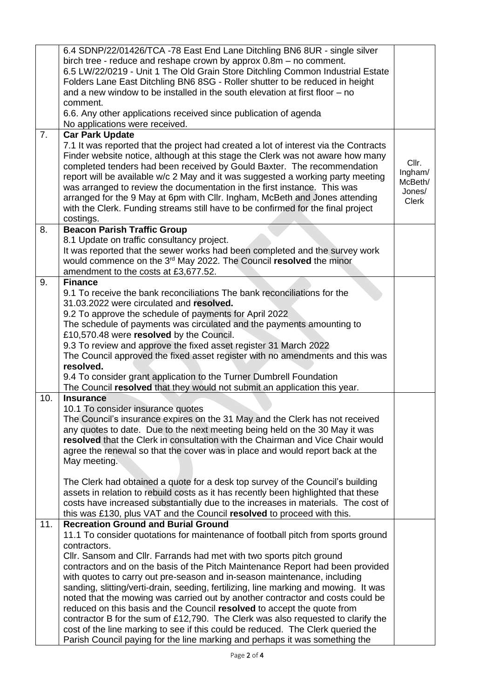|                | 6.4 SDNP/22/01426/TCA -78 East End Lane Ditchling BN6 8UR - single silver            |              |  |  |  |
|----------------|--------------------------------------------------------------------------------------|--------------|--|--|--|
|                | birch tree - reduce and reshape crown by approx $0.8m - no$ comment.                 |              |  |  |  |
|                | 6.5 LW/22/0219 - Unit 1 The Old Grain Store Ditchling Common Industrial Estate       |              |  |  |  |
|                | Folders Lane East Ditchling BN6 8SG - Roller shutter to be reduced in height         |              |  |  |  |
|                | and a new window to be installed in the south elevation at first floor – no          |              |  |  |  |
|                | comment.                                                                             |              |  |  |  |
|                | 6.6. Any other applications received since publication of agenda                     |              |  |  |  |
|                | No applications were received.                                                       |              |  |  |  |
| 7 <sub>1</sub> | <b>Car Park Update</b>                                                               |              |  |  |  |
|                | 7.1 It was reported that the project had created a lot of interest via the Contracts |              |  |  |  |
|                | Finder website notice, although at this stage the Clerk was not aware how many       |              |  |  |  |
|                | completed tenders had been received by Gould Baxter. The recommendation              | Cllr.        |  |  |  |
|                | report will be available w/c 2 May and it was suggested a working party meeting      | Ingham/      |  |  |  |
|                | was arranged to review the documentation in the first instance. This was             | McBeth/      |  |  |  |
|                | arranged for the 9 May at 6pm with Cllr. Ingham, McBeth and Jones attending          | Jones/       |  |  |  |
|                | with the Clerk. Funding streams still have to be confirmed for the final project     | <b>Clerk</b> |  |  |  |
|                | costings.                                                                            |              |  |  |  |
| 8.             | <b>Beacon Parish Traffic Group</b>                                                   |              |  |  |  |
|                | 8.1 Update on traffic consultancy project.                                           |              |  |  |  |
|                | It was reported that the sewer works had been completed and the survey work          |              |  |  |  |
|                | would commence on the 3rd May 2022. The Council resolved the minor                   |              |  |  |  |
|                | amendment to the costs at £3,677.52.                                                 |              |  |  |  |
| 9.             | <b>Finance</b>                                                                       |              |  |  |  |
|                | 9.1 To receive the bank reconciliations The bank reconciliations for the             |              |  |  |  |
|                | 31.03.2022 were circulated and resolved.                                             |              |  |  |  |
|                | 9.2 To approve the schedule of payments for April 2022                               |              |  |  |  |
|                | The schedule of payments was circulated and the payments amounting to                |              |  |  |  |
|                | £10,570.48 were resolved by the Council.                                             |              |  |  |  |
|                | 9.3 To review and approve the fixed asset register 31 March 2022                     |              |  |  |  |
|                | The Council approved the fixed asset register with no amendments and this was        |              |  |  |  |
|                | resolved.                                                                            |              |  |  |  |
|                | 9.4 To consider grant application to the Turner Dumbrell Foundation                  |              |  |  |  |
|                | The Council resolved that they would not submit an application this year.            |              |  |  |  |
| 10.            | <b>Insurance</b>                                                                     |              |  |  |  |
|                | 10.1 To consider insurance quotes                                                    |              |  |  |  |
|                | The Council's insurance expires on the 31 May and the Clerk has not received         |              |  |  |  |
|                | any quotes to date. Due to the next meeting being held on the 30 May it was          |              |  |  |  |
|                | resolved that the Clerk in consultation with the Chairman and Vice Chair would       |              |  |  |  |
|                | agree the renewal so that the cover was in place and would report back at the        |              |  |  |  |
|                | May meeting.                                                                         |              |  |  |  |
|                |                                                                                      |              |  |  |  |
|                | The Clerk had obtained a quote for a desk top survey of the Council's building       |              |  |  |  |
|                | assets in relation to rebuild costs as it has recently been highlighted that these   |              |  |  |  |
|                | costs have increased substantially due to the increases in materials. The cost of    |              |  |  |  |
|                | this was £130, plus VAT and the Council resolved to proceed with this.               |              |  |  |  |
| 11.            | <b>Recreation Ground and Burial Ground</b>                                           |              |  |  |  |
|                | 11.1 To consider quotations for maintenance of football pitch from sports ground     |              |  |  |  |
|                | contractors.                                                                         |              |  |  |  |
|                | Cllr. Sansom and Cllr. Farrands had met with two sports pitch ground                 |              |  |  |  |
|                | contractors and on the basis of the Pitch Maintenance Report had been provided       |              |  |  |  |
|                | with quotes to carry out pre-season and in-season maintenance, including             |              |  |  |  |
|                | sanding, slitting/verti-drain, seeding, fertilizing, line marking and mowing. It was |              |  |  |  |
|                | noted that the mowing was carried out by another contractor and costs could be       |              |  |  |  |
|                | reduced on this basis and the Council resolved to accept the quote from              |              |  |  |  |
|                |                                                                                      |              |  |  |  |
|                | contractor B for the sum of £12,790. The Clerk was also requested to clarify the     |              |  |  |  |
|                | cost of the line marking to see if this could be reduced. The Clerk queried the      |              |  |  |  |
|                | Parish Council paying for the line marking and perhaps it was something the          |              |  |  |  |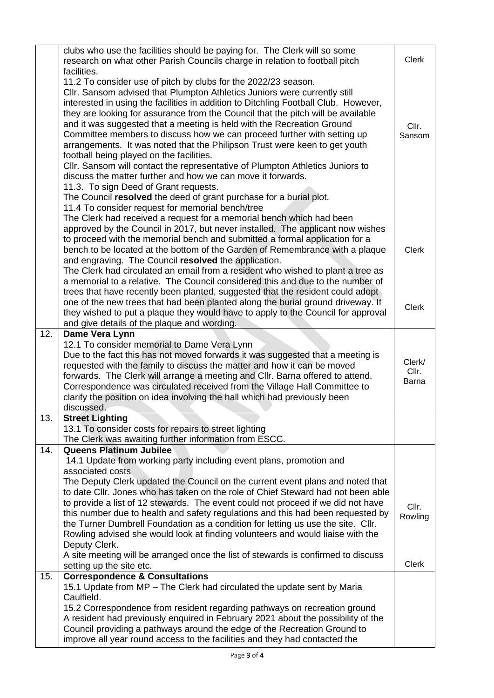|     | clubs who use the facilities should be paying for. The Clerk will so some<br>research on what other Parish Councils charge in relation to football pitch |                |  |  |
|-----|----------------------------------------------------------------------------------------------------------------------------------------------------------|----------------|--|--|
|     | facilities.                                                                                                                                              |                |  |  |
|     | 11.2 To consider use of pitch by clubs for the 2022/23 season.                                                                                           |                |  |  |
|     | CIIr. Sansom advised that Plumpton Athletics Juniors were currently still                                                                                |                |  |  |
|     | interested in using the facilities in addition to Ditchling Football Club. However,                                                                      |                |  |  |
|     | they are looking for assurance from the Council that the pitch will be available                                                                         |                |  |  |
|     | and it was suggested that a meeting is held with the Recreation Ground                                                                                   | Cllr.          |  |  |
|     | Committee members to discuss how we can proceed further with setting up                                                                                  | Sansom         |  |  |
|     | arrangements. It was noted that the Philipson Trust were keen to get youth                                                                               |                |  |  |
|     | football being played on the facilities.                                                                                                                 |                |  |  |
|     | CIIr. Sansom will contact the representative of Plumpton Athletics Juniors to                                                                            |                |  |  |
|     | discuss the matter further and how we can move it forwards.<br>11.3. To sign Deed of Grant requests.                                                     |                |  |  |
|     | The Council resolved the deed of grant purchase for a burial plot.                                                                                       |                |  |  |
|     | 11.4 To consider request for memorial bench/tree                                                                                                         |                |  |  |
|     | The Clerk had received a request for a memorial bench which had been                                                                                     |                |  |  |
|     | approved by the Council in 2017, but never installed. The applicant now wishes                                                                           |                |  |  |
|     | to proceed with the memorial bench and submitted a formal application for a                                                                              |                |  |  |
|     | bench to be located at the bottom of the Garden of Remembrance with a plaque                                                                             | <b>Clerk</b>   |  |  |
|     | and engraving. The Council resolved the application.                                                                                                     |                |  |  |
|     | The Clerk had circulated an email from a resident who wished to plant a tree as                                                                          |                |  |  |
|     | a memorial to a relative. The Council considered this and due to the number of                                                                           |                |  |  |
|     | trees that have recently been planted, suggested that the resident could adopt                                                                           |                |  |  |
|     | one of the new trees that had been planted along the burial ground driveway. If                                                                          | Clerk          |  |  |
|     | they wished to put a plaque they would have to apply to the Council for approval                                                                         |                |  |  |
| 12. | and give details of the plaque and wording.<br>Dame Vera Lynn                                                                                            |                |  |  |
|     | 12.1 To consider memorial to Dame Vera Lynn                                                                                                              |                |  |  |
|     | Due to the fact this has not moved forwards it was suggested that a meeting is                                                                           |                |  |  |
|     | requested with the family to discuss the matter and how it can be moved                                                                                  | Clerk/         |  |  |
|     | forwards. The Clerk will arrange a meeting and Cllr. Barna offered to attend.                                                                            | Cllr.<br>Barna |  |  |
|     | Correspondence was circulated received from the Village Hall Committee to                                                                                |                |  |  |
|     | clarify the position on idea involving the hall which had previously been                                                                                |                |  |  |
|     | discussed.                                                                                                                                               |                |  |  |
| 13. | <b>Street Lighting</b>                                                                                                                                   |                |  |  |
|     | 13.1 To consider costs for repairs to street lighting                                                                                                    |                |  |  |
| 14. | The Clerk was awaiting further information from ESCC.<br><b>Queens Platinum Jubilee</b>                                                                  |                |  |  |
|     | 14.1 Update from working party including event plans, promotion and                                                                                      |                |  |  |
|     | associated costs                                                                                                                                         |                |  |  |
|     | The Deputy Clerk updated the Council on the current event plans and noted that                                                                           |                |  |  |
|     | to date CIIr. Jones who has taken on the role of Chief Steward had not been able                                                                         |                |  |  |
|     | to provide a list of 12 stewards. The event could not proceed if we did not have                                                                         | Cllr.          |  |  |
|     | this number due to health and safety regulations and this had been requested by                                                                          | Rowling        |  |  |
|     | the Turner Dumbrell Foundation as a condition for letting us use the site. Cllr.                                                                         |                |  |  |
|     | Rowling advised she would look at finding volunteers and would liaise with the                                                                           |                |  |  |
|     | Deputy Clerk.                                                                                                                                            |                |  |  |
|     | A site meeting will be arranged once the list of stewards is confirmed to discuss<br>setting up the site etc.                                            | Clerk          |  |  |
| 15. | <b>Correspondence &amp; Consultations</b>                                                                                                                |                |  |  |
|     | 15.1 Update from MP - The Clerk had circulated the update sent by Maria                                                                                  |                |  |  |
|     | Caulfield.                                                                                                                                               |                |  |  |
|     | 15.2 Correspondence from resident regarding pathways on recreation ground                                                                                |                |  |  |
|     | A resident had previously enquired in February 2021 about the possibility of the                                                                         |                |  |  |
|     | Council providing a pathways around the edge of the Recreation Ground to                                                                                 |                |  |  |
|     | improve all year round access to the facilities and they had contacted the                                                                               |                |  |  |